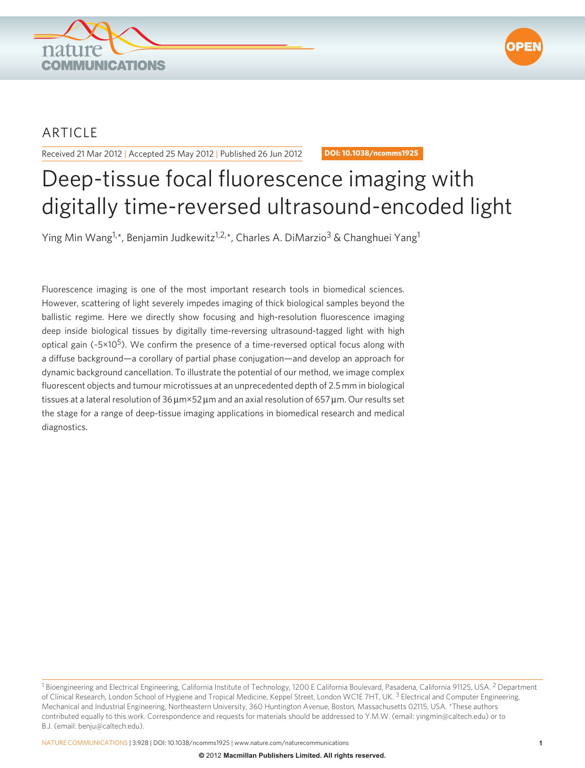



## ARTICLE

Received 21 Mar 2012 | Accepted 25 May 2012 | Published 26 Jun 2012 **DOI: 10.1038/ncomms1925** 

# Deep-tissue focal fluorescence imaging with digitally time-reversed ultrasound-encoded light

Ying Min Wang<sup>1,</sup>\*, Benjamin Judkewitz<sup>1,2,</sup>\*, Charles A. DiMarzio<sup>3</sup> & Changhuei Yang<sup>1</sup>

 Fluorescence imaging is one of the most important research tools in biomedical sciences. However, scattering of light severely impedes imaging of thick biological samples beyond the ballistic regime. Here we directly show focusing and high-resolution fluorescence imaging deep inside biological tissues by digitally time-reversing ultrasound-tagged light with high optical gain ( $-5 \times 10^5$ ). We confirm the presence of a time-reversed optical focus along with a diffuse background—a corollary of partial phase conjugation—and develop an approach for dynamic background cancellation. To illustrate the potential of our method, we image complex fluorescent objects and tumour microtissues at an unprecedented depth of 2.5 mm in biological tissues at a lateral resolution of 36 μm×52 μm and an axial resolution of 657 μm. Our results set the stage for a range of deep-tissue imaging applications in biomedical research and medical diagnostics.

NATURE COMMUNICATIONS | 3:928 | DOI: 10.1038/ncomms1925 | www.nature.com/naturecommunications **1**

<sup>&</sup>lt;sup>1</sup> Bioengineering and Electrical Engineering, California Institute of Technology, 1200 E California Boulevard, Pasadena, California 91125, USA. <sup>2</sup> Department of Clinical Research, London School of Hygiene and Tropical Medicine, Keppel Street, London WC1E 7HT, UK.<sup>3</sup> Electrical and Computer Engineering, Mechanical and Industrial Engineering, Northeastern University , 360 Huntington Avenue, Boston , Massachusetts 02115 , USA . \* These authors contributed equally to this work. Correspondence and requests for materials should be addressed to Y.M.W. (email: yingmin@caltech.edu ) or to B.J. (email: benju@caltech.edu).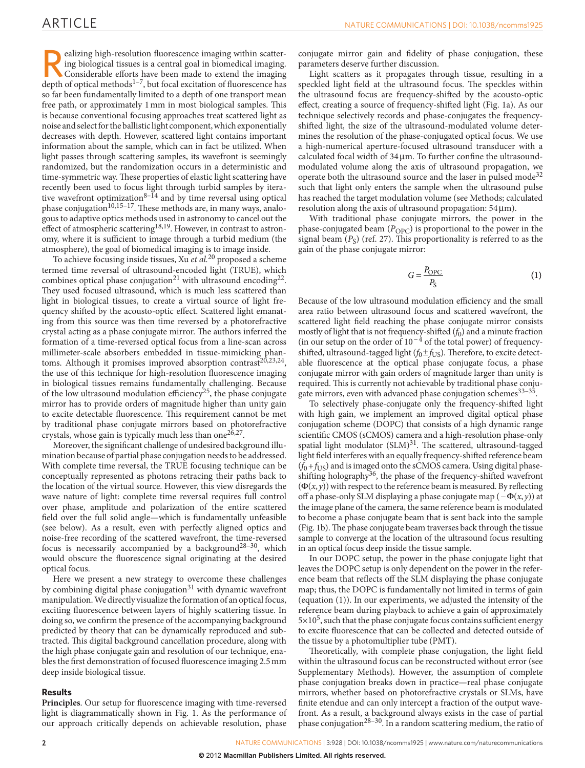realizing high-resolution fluorescence imaging within scatter-<br>ing biological tissues is a central goal in biomedical imaging.<br>Considerable efforts have been made to extend the imaging<br>depth of optical methods<sup>1-7</sup> but foc ing biological tissues is a central goal in biomedical imaging. depth of optical methods<sup> $1-7$ </sup>, but focal excitation of fluorescence has so far been fundamentally limited to a depth of one transport mean free path, or approximately 1 mm in most biological samples. This is because conventional focusing approaches treat scattered light as noise and select for the ballistic light component, which exponentially decreases with depth. However, scattered light contains important information about the sample, which can in fact be utilized. When light passes through scattering samples, its wavefront is seemingly randomized, but the randomization occurs in a deterministic and time-symmetric way. These properties of elastic light scattering have recently been used to focus light through turbid samples by iterative wavefront optimization  $8-\tilde{14}$  and by time reversal using optical phase conjugation  $10,15-17$ . These methods are, in many ways, analogous to adaptive optics methods used in astronomy to cancel out the effect of atmospheric scattering<sup>18,19</sup>. However, in contrast to astronomy, where it is sufficient to image through a turbid medium (the atmosphere), the goal of biomedical imaging is to image inside.

 To achieve focusing inside tissues, Xu *et al.*20 proposed a scheme termed time reversal of ultrasound-encoded light (TRUE), which combines optical phase conjugation<sup>21</sup> with ultrasound encoding<sup>22</sup>. They used focused ultrasound, which is much less scattered than light in biological tissues, to create a virtual source of light frequency shifted by the acousto-optic effect. Scattered light emanating from this source was then time reversed by a photorefractive crystal acting as a phase conjugate mirror. The authors inferred the formation of a time-reversed optical focus from a line-scan across millimeter-scale absorbers embedded in tissue-mimicking phantoms. Although it promises improved absorption contrast<sup>20,23,24</sup>, the use of this technique for high-resolution fluorescence imaging in biological tissues remains fundamentally challenging. Because of the low ultrasound modulation efficiency<sup>25</sup>, the phase conjugate mirror has to provide orders of magnitude higher than unity gain to excite detectable fluorescence. This requirement cannot be met by traditional phase conjugate mirrors based on photorefractive crystals, whose gain is typically much less than one<sup>26,27</sup>.

Moreover, the significant challenge of undesired background illumination because of partial phase conjugation needs to be addressed. With complete time reversal, the TRUE focusing technique can be conceptually represented as photons retracing their paths back to the location of the virtual source. However, this view disregards the wave nature of light: complete time reversal requires full control over phase, amplitude and polarization of the entire scattered field over the full solid angle—which is fundamentally unfeasible (see below). As a result, even with perfectly aligned optics and noise-free recording of the scattered wavefront, the time-reversed focus is necessarily accompanied by a background  $28-30$ , which would obscure the fluorescence signal originating at the desired optical focus.

 Here we present a new strategy to overcome these challenges by combining digital phase conjugation $31$  with dynamic wavefront manipulation. We directly visualize the formation of an optical focus, exciting fluorescence between layers of highly scattering tissue. In doing so, we confirm the presence of the accompanying background predicted by theory that can be dynamically reproduced and subtracted. This digital background cancellation procedure, along with the high phase conjugate gain and resolution of our technique, enables the first demonstration of focused fluorescence imaging 2.5 mm deep inside biological tissue.

#### **Results**

Principles. Our setup for fluorescence imaging with time-reversed light is diagrammatically shown in Fig. 1. As the performance of our approach critically depends on achievable resolution, phase conjugate mirror gain and fidelity of phase conjugation, these parameters deserve further discussion.

 Light scatters as it propagates through tissue, resulting in a speckled light field at the ultrasound focus. The speckles within the ultrasound focus are frequency-shifted by the acousto-optic effect, creating a source of frequency-shifted light (Fig. 1a). As our technique selectively records and phase-conjugates the frequencyshifted light, the size of the ultrasound-modulated volume determines the resolution of the phase-conjugated optical focus. We use a high-numerical aperture-focused ultrasound transducer with a calculated focal width of  $34 \mu$ m. To further confine the ultrasoundmodulated volume along the axis of ultrasound propagation, we operate both the ultrasound source and the laser in pulsed mode<sup>32</sup> such that light only enters the sample when the ultrasound pulse has reached the target modulation volume (see Methods; calculated resolution along the axis of ultrasound propagation:  $54 \mu m$ ).

 With traditional phase conjugate mirrors, the power in the phase-conjugated beam  $(P_{OPC})$  is proportional to the power in the signal beam  $(P<sub>S</sub>)$  (ref. 27). This proportionality is referred to as the gain of the phase conjugate mirror:

$$
G = \frac{P_{\text{OPC}}}{P_{\text{S}}} \tag{1}
$$

Because of the low ultrasound modulation efficiency and the small area ratio between ultrasound focus and scattered wavefront, the scattered light field reaching the phase conjugate mirror consists mostly of light that is not frequency-shifted  $(f_0)$  and a minute fraction (in our setup on the order of  $10^{-4}$  of the total power) of frequencyshifted, ultrasound-tagged light  $(f_0 \pm f_{US})$ . Therefore, to excite detectable fluorescence at the optical phase conjugate focus, a phase conjugate mirror with gain orders of magnitude larger than unity is required. This is currently not achievable by traditional phase conjugate mirrors, even with advanced phase conjugation schemes  $33-35$ .

To selectively phase-conjugate only the frequency-shifted light with high gain, we implement an improved digital optical phase conjugation scheme (DOPC) that consists of a high dynamic range scientific CMOS (sCMOS) camera and a high-resolution phase-only spatial light modulator  $(SLM)^{31}$ . The scattered, ultrasound-tagged light field interferes with an equally frequency-shifted reference beam  $(f_0 + f_{US})$  and is imaged onto the sCMOS camera. Using digital phaseshifting holography<sup>36</sup>, the phase of the frequency-shifted wavefront  $(\Phi(x, y))$  with respect to the reference beam is measured. By reflecting off a phase-only SLM displaying a phase conjugate map  $(-\Phi(x, y))$  at the image plane of the camera, the same reference beam is modulated to become a phase conjugate beam that is sent back into the sample  $(Fig. 1b)$ . The phase conjugate beam traverses back through the tissue sample to converge at the location of the ultrasound focus resulting in an optical focus deep inside the tissue sample.

 In our DOPC setup, the power in the phase conjugate light that leaves the DOPC setup is only dependent on the power in the reference beam that reflects off the SLM displaying the phase conjugate map; thus, the DOPC is fundamentally not limited in terms of gain (equation  $(1)$ ). In our experiments, we adjusted the intensity of the reference beam during playback to achieve a gain of approximately  $5 \times 10^5$ , such that the phase conjugate focus contains sufficient energy to excite fluorescence that can be collected and detected outside of the tissue by a photomultiplier tube (PMT).

Theoretically, with complete phase conjugation, the light field within the ultrasound focus can be reconstructed without error (see Supplementary Methods). However, the assumption of complete phase conjugation breaks down in practice — real phase conjugate mirrors, whether based on photorefractive crystals or SLMs, have finite etendue and can only intercept a fraction of the output wavefront. As a result, a background always exists in the case of partial phase conjugation  $28-30$ . In a random scattering medium, the ratio of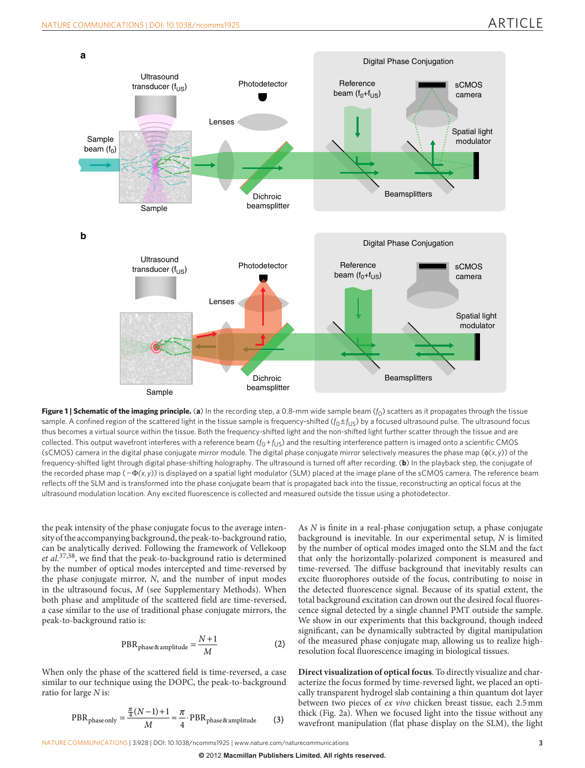

**Figure 1 | Schematic of the imaging principle.** (a) In the recording step, a 0.8-mm wide sample beam ( $f_0$ ) scatters as it propagates through the tissue sample. A confined region of the scattered light in the tissue sample is frequency-shifted ( $f_0 \pm f_{U5}$ ) by a focused ultrasound pulse. The ultrasound focus thus becomes a virtual source within the tissue. Both the frequency-shifted light and the non-shifted light further scatter through the tissue and are collected. This output wavefront interferes with a reference beam  $(f_0 + f_{U<sub>S</sub>})$  and the resulting interference pattern is imaged onto a scientific CMOS (sCMOS) camera in the digital phase conjugate mirror module. The digital phase conjugate mirror selectively measures the phase map ( φ*(x* , *y* )) of the frequency-shifted light through digital phase-shifting holography. The ultrasound is turned off after recording. ( **b** ) In the playback step, the conjugate of the recorded phase map ( − Φ(*x*, *y*)) is displayed on a spatial light modulator (SLM) placed at the image plane of the sCMOS camera. The reference beam reflects off the SLM and is transformed into the phase conjugate beam that is propagated back into the tissue, reconstructing an optical focus at the ultrasound modulation location. Any excited fluorescence is collected and measured outside the tissue using a photodetector.

the peak intensity of the phase conjugate focus to the average intensity of the accompanying background, the peak-to-background ratio, can be analytically derived. Following the framework of Vellekoop *et al.*<sup>37,38</sup>, we find that the peak-to-background ratio is determined by the number of optical modes intercepted and time-reversed by the phase conjugate mirror, *N*, and the number of input modes in the ultrasound focus, *M* (see Supplementary Methods). When both phase and amplitude of the scattered field are time-reversed, a case similar to the use of traditional phase conjugate mirrors, the peak-to-background ratio is:

$$
PBR_{phase \& amplitude} = \frac{N+1}{M}
$$
 (2)

When only the phase of the scattered field is time-reversed, a case similar to our technique using the DOPC, the peak-to-background ratio for large *N* is:

$$
PBR_{\text{phase only}} = \frac{\frac{\pi}{4}(N-1) + 1}{M} \approx \frac{\pi}{4} \cdot PBR_{\text{phase} & amplitude} \tag{3}
$$

As *N* is finite in a real-phase conjugation setup, a phase conjugate background is inevitable. In our experimental setup, *N* is limited by the number of optical modes imaged onto the SLM and the fact that only the horizontally-polarized component is measured and time-reversed. The diffuse background that inevitably results can excite fluorophores outside of the focus, contributing to noise in the detected fluorescence signal. Because of its spatial extent, the total background excitation can drown out the desired focal fluorescence signal detected by a single channel PMT outside the sample. We show in our experiments that this background, though indeed significant, can be dynamically subtracted by digital manipulation of the measured phase conjugate map, allowing us to realize highresolution focal fluorescence imaging in biological tissues.

**Direct visualization of optical focus** . To directly visualize and characterize the focus formed by time-reversed light, we placed an optically transparent hydrogel slab containing a thin quantum dot layer between two pieces of *ex vivo* chicken breast tissue, each 2.5 mm thick (Fig. 2a). When we focused light into the tissue without any wavefront manipulation (flat phase display on the SLM), the light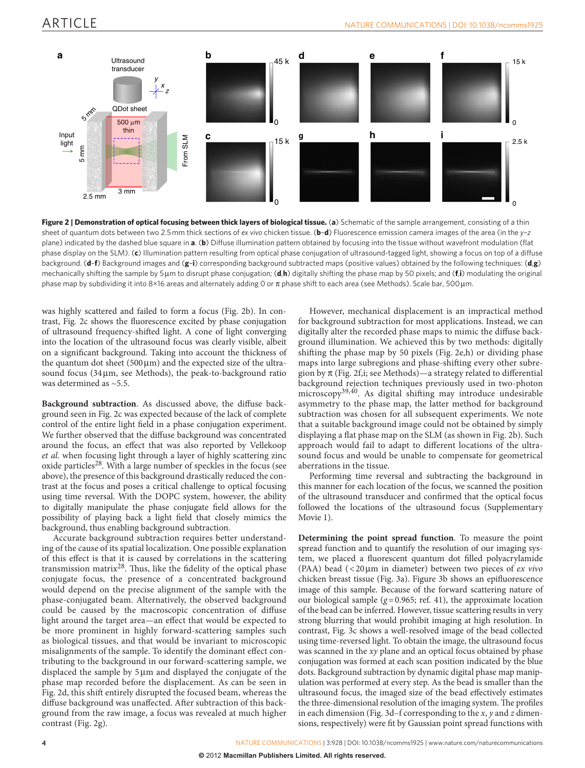

Figure 2 | Demonstration of optical focusing between thick layers of biological tissue. (a) Schematic of the sample arrangement, consisting of a thin sheet of quantum dots between two 2.5 mm thick sections of ex vivo chicken tissue. (b-d) Fluorescence emission camera images of the area (in the y-z plane) indicated by the dashed blue square in **a**. (**b**) Diffuse illumination pattern obtained by focusing into the tissue without wavefront modulation (flat phase display on the SLM). ( **c** ) Illumination pattern resulting from optical phase conjugation of ultrasound-tagged light, showing a focus on top of a diffuse background. (**d-f**) Background images and (**g-i**) corresponding background subtracted maps (positive values) obtained by the following techniques: (**d**,g) mechanically shifting the sample by 5μm to disrupt phase conjugation; (d,h) digitally shifting the phase map by 50 pixels; and (f,i) modulating the original phase map by subdividing it into 8×16 areas and alternately adding 0 or π phase shift to each area (see Methods). Scale bar, 500 μm.

was highly scattered and failed to form a focus (Fig. 2b). In contrast, Fig. 2c shows the fluorescence excited by phase conjugation of ultrasound frequency-shifted light. A cone of light converging into the location of the ultrasound focus was clearly visible, albeit on a significant background. Taking into account the thickness of the quantum dot sheet ( $500 \,\mu m$ ) and the expected size of the ultrasound focus ( $34 \mu m$ , see Methods), the peak-to-background ratio was determined as  $\sim$  5.5.

Background subtraction. As discussed above, the diffuse background seen in Fig. 2c was expected because of the lack of complete control of the entire light field in a phase conjugation experiment. We further observed that the diffuse background was concentrated around the focus, an effect that was also reported by Vellekoop *et al.* when focusing light through a layer of highly scattering zinc oxide particles<sup>28</sup>. With a large number of speckles in the focus (see above), the presence of this background drastically reduced the contrast at the focus and poses a critical challenge to optical focusing using time reversal. With the DOPC system, however, the ability to digitally manipulate the phase conjugate field allows for the possibility of playing back a light field that closely mimics the background, thus enabling background subtraction.

 Accurate background subtraction requires better understanding of the cause of its spatial localization. One possible explanation of this effect is that it is caused by correlations in the scattering transmission matrix $28$ . Thus, like the fidelity of the optical phase conjugate focus, the presence of a concentrated background would depend on the precise alignment of the sample with the phase-conjugated beam. Alternatively, the observed background could be caused by the macroscopic concentration of diffuse light around the target area-an effect that would be expected to be more prominent in highly forward-scattering samples such as biological tissues, and that would be invariant to microscopic misalignments of the sample. To identify the dominant effect contributing to the background in our forward-scattering sample, we displaced the sample by  $5 \mu m$  and displayed the conjugate of the phase map recorded before the displacement. As can be seen in Fig. 2d, this shift entirely disrupted the focused beam, whereas the diffuse background was unaffected. After subtraction of this background from the raw image, a focus was revealed at much higher contrast (Fig. 2g).

 However, mechanical displacement is an impractical method for background subtraction for most applications. Instead, we can digitally alter the recorded phase maps to mimic the diffuse background illumination. We achieved this by two methods: digitally shifting the phase map by 50 pixels (Fig. 2e,h) or dividing phase maps into large subregions and phase-shifting every other subregion by  $\pi$  (Fig. 2f,i; see Methods) — a strategy related to differential background rejection techniques previously used in two-photon  $microscopy<sup>39,40</sup>$ . As digital shifting may introduce undesirable asymmetry to the phase map, the latter method for background subtraction was chosen for all subsequent experiments. We note that a suitable background image could not be obtained by simply displaying a flat phase map on the SLM (as shown in Fig. 2b). Such approach would fail to adapt to different locations of the ultrasound focus and would be unable to compensate for geometrical aberrations in the tissue.

 Performing time reversal and subtracting the background in this manner for each location of the focus, we scanned the position of the ultrasound transducer and confirmed that the optical focus followed the locations of the ultrasound focus (Supplementary Movie 1).

**Determining the point spread function** . To measure the point spread function and to quantify the resolution of our imaging system, we placed a fluorescent quantum dot filled polyacrylamide (PAA) bead (<20μm in diameter) between two pieces of *ex vivo* chicken breast tissue (Fig. 3a). Figure 3b shows an epifluorescence image of this sample. Because of the forward scattering nature of our biological sample  $(g=0.965;$  ref. 41), the approximate location of the bead can be inferred. However, tissue scattering results in very strong blurring that would prohibit imaging at high resolution. In contrast, Fig. 3c shows a well-resolved image of the bead collected using time-reversed light. To obtain the image, the ultrasound focus was scanned in the *xy* plane and an optical focus obtained by phase conjugation was formed at each scan position indicated by the blue dots. Background subtraction by dynamic digital phase map manipulation was performed at every step. As the bead is smaller than the ultrasound focus, the imaged size of the bead effectively estimates the three-dimensional resolution of the imaging system. The profiles in each dimension (Fig. 3d–f corresponding to the  $x$ ,  $y$  and  $z$  dimensions, respectively) were fit by Gaussian point spread functions with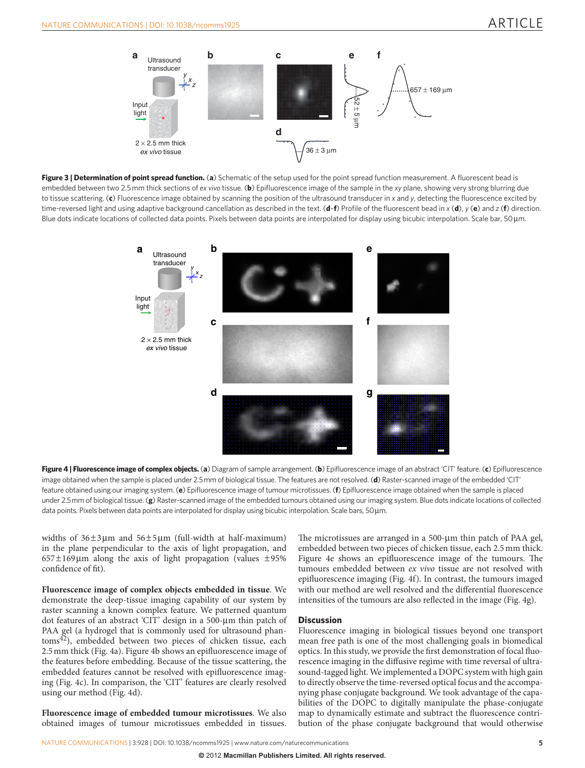





Figure 4 | Fluorescence image of complex objects. (a) Diagram of sample arrangement. (b) Epifluorescence image of an abstract 'CIT' feature. (c) Epifluorescence image obtained when the sample is placed under 2.5 mm of biological tissue. The features are not resolved. (d) Raster-scanned image of the embedded 'CIT' feature obtained using our imaging system. (e) Epifluorescence image of tumour microtissues. (f) Epifluorescence image obtained when the sample is placed under 2.5 mm of biological tissue. (g) Raster-scanned image of the embedded tumours obtained using our imaging system. Blue dots indicate locations of collected data points. Pixels between data points are interpolated for display using bicubic interpolation. Scale bars, 50 μm.

widths of  $36 \pm 3 \mu m$  and  $56 \pm 5 \mu m$  (full-width at half-maximum) in the plane perpendicular to the axis of light propagation, and  $657 \pm 169 \,\mu m$  along the axis of light propagation (values  $\pm 95\%$ confidence of fit).

**Fluorescence image of complex objects embedded in tissue** . We demonstrate the deep-tissue imaging capability of our system by raster scanning a known complex feature. We patterned quantum dot features of an abstract 'CIT' design in a 500-μm thin patch of PAA gel (a hydrogel that is commonly used for ultrasound phan $t$ oms $42$ ), embedded between two pieces of chicken tissue, each 2.5 mm thick (Fig. 4a). Figure 4b shows an epifluorescence image of the features before embedding. Because of the tissue scattering, the embedded features cannot be resolved with epifluorescence imaging (Fig. 4c). In comparison, the 'CIT' features are clearly resolved using our method (Fig. 4d).

**Fluorescence image of embedded tumour microtissues** . We also obtained images of tumour microtissues embedded in tissues.

The microtissues are arranged in a 500-um thin patch of PAA gel, embedded between two pieces of chicken tissue, each 2.5 mm thick. Figure 4e shows an epifluorescence image of the tumours. The tumours embedded between *ex vivo* tissue are not resolved with epifluorescence imaging (Fig. 4f). In contrast, the tumours imaged with our method are well resolved and the differential fluorescence intensities of the tumours are also reflected in the image (Fig. 4g).

#### **Discussion**

 Fluorescence imaging in biological tissues beyond one transport mean free path is one of the most challenging goals in biomedical optics. In this study, we provide the first demonstration of focal fluorescence imaging in the diffusive regime with time reversal of ultrasound-tagged light. We implemented a DOPC system with high gain to directly observe the time-reversed optical focus and the accompanying phase conjugate background. We took advantage of the capabilities of the DOPC to digitally manipulate the phase-conjugate map to dynamically estimate and subtract the fluorescence contri-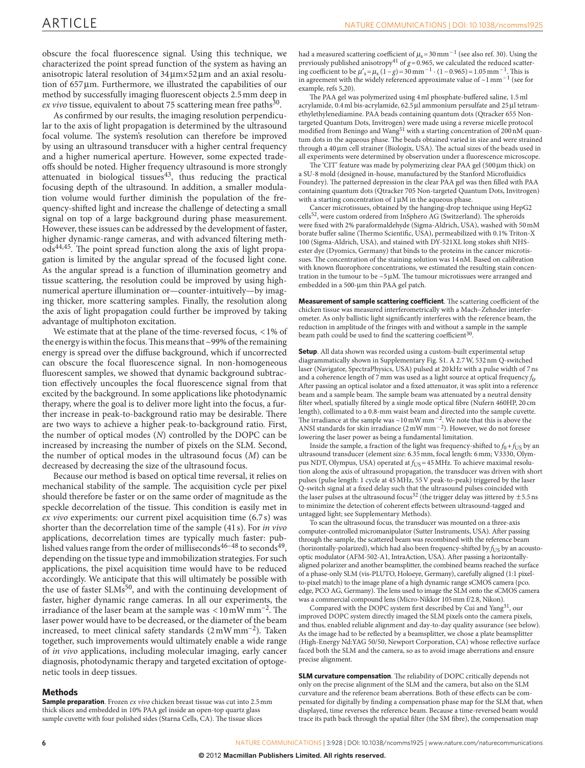### ARTICLE

obscure the focal fluorescence signal. Using this technique, we characterized the point spread function of the system as having an anisotropic lateral resolution of 34 μm×52 μm and an axial resolution of  $657 \mu m$ . Furthermore, we illustrated the capabilities of our method by successfully imaging fluorescent objects 2.5 mm deep in *ex vivo* tissue, equivalent to about 75 scattering mean free paths<sup>30</sup>.

As confirmed by our results, the imaging resolution perpendicular to the axis of light propagation is determined by the ultrasound focal volume. The system's resolution can therefore be improved by using an ultrasound transducer with a higher central frequency and a higher numerical aperture. However, some expected tradeoffs should be noted. Higher frequency ultrasound is more strongly attenuated in biological tissues $43$ , thus reducing the practical focusing depth of the ultrasound. In addition, a smaller modulation volume would further diminish the population of the frequency-shifted light and increase the challenge of detecting a small signal on top of a large background during phase measurement. However, these issues can be addressed by the development of faster, higher dynamic-range cameras, and with advanced filtering meth $ods<sup>44,45</sup>$ . The point spread function along the axis of light propagation is limited by the angular spread of the focused light cone. As the angular spread is a function of illumination geometry and tissue scattering, the resolution could be improved by using highnumerical aperture illumination or-counter-intuitively-by imaging thicker, more scattering samples. Finally, the resolution along the axis of light propagation could further be improved by taking advantage of multiphoton excitation.

We estimate that at the plane of the time-reversed focus, <1% of the energy is within the focus. This means that  $\sim$ 99% of the remaining energy is spread over the diffuse background, which if uncorrected can obscure the focal fluorescence signal. In non-homogeneous fluorescent samples, we showed that dynamic background subtraction effectively uncouples the focal fluorescence signal from that excited by the background. In some applications like photodynamic therapy, where the goal is to deliver more light into the focus, a further increase in peak-to-background ratio may be desirable. There are two ways to achieve a higher peak-to-background ratio. First, the number of optical modes  $(N)$  controlled by the DOPC can be increased by increasing the number of pixels on the SLM. Second, the number of optical modes in the ultrasound focus (*M*) can be decreased by decreasing the size of the ultrasound focus.

 Because our method is based on optical time reversal, it relies on mechanical stability of the sample. The acquisition cycle per pixel should therefore be faster or on the same order of magnitude as the speckle decorrelation of the tissue. This condition is easily met in *ex vivo* experiments: our current pixel acquisition time (6.7 s) was shorter than the decorrelation time of the sample (41 s). For *in vivo* applications, decorrelation times are typically much faster: published values range from the order of milliseconds<sup>46-48</sup> to seconds<sup>49</sup>, depending on the tissue type and immobilization strategies. For such applications, the pixel acquisition time would have to be reduced accordingly. We anticipate that this will ultimately be possible with the use of faster SLMs<sup>50</sup>, and with the continuing development of faster, higher dynamic range cameras. In all our experiments, the irradiance of the laser beam at the sample was  $< 10 \text{ mW mm}^{-2}$ . The laser power would have to be decreased, or the diameter of the beam increased, to meet clinical safety standards  $(2 \text{ mW mm}^{-2})$ . Taken together, such improvements would ultimately enable a wide range of *in vivo* applications, including molecular imaging, early cancer diagnosis, photodynamic therapy and targeted excitation of optogenetic tools in deep tissues.

#### **Methods**

**Sample preparation**. Frozen *ex vivo* chicken breast tissue was cut into 2.5 mm thick slices and embedded in 10% PAA gel inside an open-top quartz glass sample cuvette with four polished sides (Starna Cells, CA). The tissue slices

had a measured scattering coefficient of  $\mu_s$  = 30 mm<sup>-1</sup> (see also ref. 30). Using the previously published anisotropy<sup>41</sup> of  $g = 0.965$ , we calculated the reduced scattering coefficient to be  $\mu'_{s} = \mu_{s} (1 - g) = 30$  mm<sup>-1</sup> · (1 – 0.965) = 1.05 mm<sup>-1</sup>. This is in agreement with the widely referenced approximate value of ~1 mm<sup>-1</sup> (see for example, refs 5,20).

The PAA gel was polymerized using 4 ml phosphate-buffered saline, 1.5 ml acrylamide, 0.4 ml bis-acrylamide, 62.5 μl ammonium persulfate and 25 μl tetramethylethylenediamine. PAA beads containing quantum dots (Qtracker 655 Nontargeted Quantum Dots, Invitrogen) were made using a reverse micelle protocol modified from Beningo and Wang<sup>51</sup> with a starting concentration of 200 nM quantum dots in the aqueous phase. The beads obtained varied in size and were strained through a 40 μm cell strainer (Biologix, USA). The actual sizes of the beads used in all experiments were determined by observation under a fluorescence microscope.

The 'CIT' feature was made by polymerizing clear PAA gel (500μm thick) on a SU-8 mold (designed in-house, manufactured by the Stanford Microfluidics Foundry). The patterned depression in the clear PAA gel was then filled with PAA containing quantum dots (Qtracker 705 Non-targeted Quantum Dots, Invitrogen) with a starting concentration of  $1 \mu$ M in the aqueous phase.

Cancer microtissues, obtained by the hanging-drop technique using HepG2 cells<sup>52</sup>, were custom ordered from InSphero AG (Switzerland). The spheroids were fixed with 2% paraformaldehyde (Sigma-Aldrich, USA), washed with 50 mM borate buffer saline (Thermo Scientific, USA), permeabilized with 0.1% Triton-X 100 (Sigma-Aldrich, USA), and stained with DY-521XL long stokes shift NHSester dye (Dyomics, Germany) that binds to the proteins in the cancer microtissues. The concentration of the staining solution was 14 nM. Based on calibration with known fluorophore concentrations, we estimated the resulting stain concentration in the tumour to be  $\sim$  5  $\mu$ M. The tumour microtissues were arranged and embedded in a 500-μm thin PAA gel patch.

**Measurement of sample scattering coefficient**. The scattering coefficient of the chicken tissue was measured interferometrically with a Mach – Zehnder interferometer. As only ballistic light significantly interferes with the reference beam, the reduction in amplitude of the fringes with and without a sample in the sample beam path could be used to find the scattering coefficient<sup>30</sup>.

**Setup**. All data shown was recorded using a custom-built experimental setup diagrammatically shown in Supplementary Fig. S1 . A 2.7 W, 532 nm Q-switched laser (Navigator, SpectraPhysics, USA) pulsed at 20 kHz with a pulse width of 7 ns and a coherence length of 7 mm was used as a light source at optical frequency  $f_0$ . After passing an optical isolator and a fixed attenuator, it was split into a reference beam and a sample beam. The sample beam was attenuated by a neutral density filter wheel, spatially filtered by a single mode optical fibre (Nufern 460HP, 20 cm length), collimated to a 0.8-mm waist beam and directed into the sample cuvette. The irradiance at the sample was ~ $10 \text{ mW mm}^{-2}$ . We note that this is above the ANSI standards for skin irradiance (2 mW mm<sup>-2</sup>). However, we do not foresee lowering the laser power as being a fundamental limitation.

Inside the sample, a fraction of the light was frequency-shifted to  $f_0 + f_{US}$  by an ultrasound transducer (element size: 6.35 mm, focal length: 6 mm; V3330, Olympus NDT, Olympus, USA) operated at  $f_{US}$  = 45 MHz. To achieve maximal resolution along the axis of ultrasound propagation, the transducer was driven with short pulses (pulse length: 1 cycle at 45 MHz, 55 V peak-to-peak) triggered by the laser Q-switch signal at a fixed delay such that the ultrasound pulses coincided with the laser pulses at the ultrasound focus<sup>32</sup> (the trigger delay was jittered by  $\pm$  5.5 ns to minimize the detection of coherent effects between ultrasound-tagged and untagged light; see Supplementary Methods ).

 To scan the ultrasound focus, the transducer was mounted on a three-axis computer-controlled micromanipulator (Sutter Instruments, USA). After passing through the sample, the scattered beam was recombined with the reference beam (horizontally-polarized), which had also been frequency-shifted by  $f_{\text{US}}$  by an acoustooptic modulator (AFM-502-A1, IntraAction, USA). After passing a horizontallyaligned polarizer and another beamsplitter, the combined beams reached the surface of a phase-only SLM (vis-PLUTO, Holoeye, Germany), carefully aligned (1:1 pixelto-pixel match) to the image plane of a high dynamic range sCMOS camera (pco. edge, PCO AG, Germany). The lens used to image the SLM onto the sCMOS camera was a commercial compound lens (Micro-Nikkor 105 mm f/2.8, Nikon).

Compared with the DOPC system first described by Cui and Yang<sup>31</sup>, our improved DOPC system directly imaged the SLM pixels onto the camera pixels, and thus, enabled reliable alignment and day-to-day quality assurance (see below). As the image had to be reflected by a beamsplitter, we chose a plate beamsplitter (High-Energy Nd:YAG 50/50, Newport Corporation, CA) whose reflective surface faced both the SLM and the camera, so as to avoid image aberrations and ensure precise alignment.

**SLM curvature compensation**. The reliability of DOPC critically depends not only on the precise alignment of the SLM and the camera, but also on the SLM curvature and the reference beam aberrations. Both of these effects can be compensated for digitally by finding a compensation phase map for the SLM that, when displayed, time reverses the reference beam. Because a time-reversed beam would trace its path back through the spatial filter (the SM fibre), the compensation map

NATURE COMMUNICATIONS | 3:928 | DOI: 10.1038/ncomms1925 | www.nature.com/naturecommunications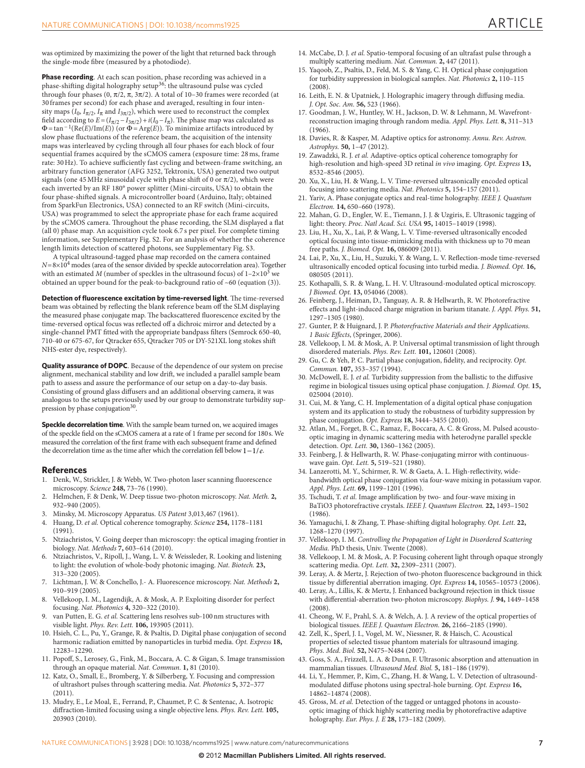was optimized by maximizing the power of the light that returned back through the single-mode fibre (measured by a photodiode).

**Phase recording**. At each scan position, phase recording was achieved in a<br>phase-shifting digital holography setup<sup>36</sup>: the ultrasound pulse was cycled through four phases  $(0, π/2, π, 3π/2)$ . A total of 10–30 frames were recorded (at 30 frames per second) for each phase and averaged, resulting in four intensity maps ( $I_0$ ,  $I_{\pi/2}$ ,  $I_{\pi}$  and  $I_{3\pi/2}$ ), which were used to reconstruct the complex field according to  $E = (I_{\pi/2} - I_{3\pi/2}) + i(I_0 - I_{\pi})$ . The phase map was calculated as  $\Phi = \tan^{-1}(\text{Re}(E)/\text{Im}(E))$  (or  $\Phi = \text{Arg}(E)$ ). To minimize artifacts introduced by slow phase fluctuations of the reference beam, the acquisition of the intensity maps was interleaved by cycling through all four phases for each block of four sequential frames acquired by the sCMOS camera (exposure time: 28 ms, frame rate: 30 Hz). To achieve sufficiently fast cycling and between-frame switching, an arbitrary function generator (AFG 3252, Tektronix, USA) generated two output signals (one 45 MHz sinusoidal cycle with phase shift of 0 or  $\pi/2$ ), which were each inverted by an RF 180° power splitter (Mini-circuits, USA) to obtain the four phase-shifted signals. A microcontroller board (Arduino, Italy; obtained from SparkFun Electronics, USA) connected to an RF switch (Mini-circuits, USA) was programmed to select the appropriate phase for each frame acquired by the sCMOS camera. Throughout the phase recording, the SLM displayed a flat (all 0) phase map. An acquisition cycle took 6.7 s per pixel. For complete timing information, see Supplementary Fig. S2 . For an analysis of whether the coherence length limits detection of scattered photons, see Supplementary Fig. S3 .

 A typical ultrasound-tagged phase map recorded on the camera contained  $N = 8 \times 10^4$  modes (area of the sensor divided by speckle autocorrelation area). Together with an estimated *M* (number of speckles in the ultrasound focus) of  $1-2\times10^3$  we obtained an upper bound for the peak-to-background ratio of  $~60$  (equation (3)).

**Detection of fluorescence excitation by time-reversed light**. The time-reversed beam was obtained by reflecting the blank reference beam off the SLM displaying the measured phase conjugate map. The backscattered fluorescence excited by the time-reversed optical focus was reflected off a dichroic mirror and detected by a single-channel PMT fitted with the appropriate bandpass filters (Semrock 650-40, 710-40 or 675-67, for Qtracker 655, Qtracker 705 or DY-521XL long stokes shift NHS-ester dye, respectively).

**Quality assurance of DOPC** . Because of the dependence of our system on precise alignment, mechanical stability and low drift, we included a parallel sample beam path to assess and assure the performance of our setup on a day-to-day basis. Consisting of ground glass diffusers and an additional observing camera, it was analogous to the setups previously used by our group to demonstrate turbidity suppression by phase conjugation<sup>30</sup>.

**Speckle decorrelation time**. With the sample beam turned on, we acquired images of the speckle field on the sCMOS camera at a rate of 1 frame per second for 180 s. We measured the correlation of the first frame with each subsequent frame and defined the decorrelation time as the time after which the correlation fell below  $1 - 1/e$ .

#### **References**

- 1. Denk, W., Strickler, J. & Webb, W. Two-photon laser scanning fluorescence microscopy . *Science* **248,** 73 – 76 ( 1990 ).
- 2 . Helmchen , F . & Denk , W . Deep tissue two-photon microscopy . *Nat. Meth.* **2,**  $932 - 940$  (2005).
- 3. Minsky, M. Microscopy Apparatus. *US Patent* 3,013,467 (1961).
- 4 . Huang , D . *et al.* Optical coherence tomography . *Science* **254,** 1178 1181  $(1991)$
- Ntziachristos, V. Going deeper than microscopy: the optical imaging frontier in biology . *Nat. Methods* **7,** 603 – 614 ( 2010 ).
- 6. Ntziachristos, V., Ripoll, J., Wang, L. V. & Weissleder, R. Looking and listening to light: the evolution of whole-body photonic imaging . *Nat. Biotech.* **23,** 313 – 320 ( 2005 ).
- 7 . Lichtman , J . W . & Conchello , J.- A . Fluorescence microscopy . *Nat. Methods* **2,** 910-919 (2005).
- Vellekoop, I. M., Lagendijk, A. & Mosk, A. P. Exploiting disorder for perfect focusing. Nat. Photonics 4, 320-322 (2010).
- 9. van Putten, E. G. et al. Scattering lens resolves sub-100 nm structures with visible light. *Phys. Rev. Lett.* **106**, 193905 (2011).
- 10. Hsieh, C. L., Pu, Y., Grange, R. & Psaltis, D. Digital phase conjugation of second harmonic radiation emitted by nanoparticles in turbid media . *Opt. Express* **18,** 12283 – 12290 .
- 11. Popoff, S., Lerosey, G., Fink, M., Boccara, A. C. & Gigan, S. Image transmission through an opaque material. Nat. Commun. 1, 81 (2010).
- 12. Katz, O., Small, E., Bromberg, Y. & Silberberg, Y. Focusing and compression of ultrashort pulses through scattering media . *Nat. Photonics* **5,** 372 – 377  $(2011)$ .
- 13. Mudry, E., Le Moal, E., Ferrand, P., Chaumet, P. C. & Sentenac, A. Isotropic diff raction-limited focusing using a single objective lens . *Phys. Rev. Lett.* **105,** 203903 (2010).
- 14. McCabe, D. J. et al. Spatio-temporal focusing of an ultrafast pulse through a multiply scattering medium . *Nat. Commun.* **2,** 447 ( 2011 ).
- 15. Yaqoob, Z., Psaltis, D., Feld, M. S. & Yang, C. H. Optical phase conjugation for turbidity suppression in biological samples . *Nat. Photonics* **2,** 110 – 115  $(2008)$ .
- 16. Leith, E. N. & Upatniek, J. Holographic imagery through diffusing media. *J. Opt. Soc. Am.* **56,** 523 ( 1966 ).
- 17. Goodman, J. W., Huntley, W. H., Jackson, D. W. & Lehmann, M. Wavefrontreconstruction imaging through random media . *Appl. Phys. Lett.* **8,** 311 – 313  $(1966)$
- 18. Davies, R. & Kasper, M. Adaptive optics for astronomy. Annu. Rev. Astron. *Astrophys.* **50,** 1 – 47 ( 2012 ).
- 19. Zawadzki, R. J. et al. Adaptive-optics optical coherence tomography for high-resolution and high-speed 3D retinal *in vivo* imaging . *Opt. Express* **13,** 8532-8546 (2005).
- 20. Xu, X., Liu, H. & Wang, L. V. Time-reversed ultrasonically encoded optical focusing into scattering media . *Nat. Photonics* **5,** 154 – 157 ( 2011 ).
- 21 . Yariv , A . Phase conjugate optics and real-time holography . *IEEE J. Quantum Electron.* **14,** 650 – 660 ( 1978 ).
- 22. Mahan, G. D., Engler, W. E., Tiemann, J. J. & Uzgiris, E. Ultrasonic tagging of light: theory. *Proc. Natl Acad. Sci. USA* 95, 14015-14019 (1998).
- 23. Liu, H., Xu, X., Lai, P. & Wang, L. V. Time-reversed ultrasonically encoded optical focusing into tissue-mimicking media with thickness up to 70 mean free paths . *J. Biomed. Opt.* **16,** 086009 ( 2011 ).
- 24. Lai, P., Xu, X., Liu, H., Suzuki, Y. & Wang, L. V. Reflection-mode time-reversed ultrasonically encoded optical focusing into turbid media . *J. Biomed. Opt.* **16,** 080505 ( 2011 ).
- 25. Kothapalli, S. R. & Wang, L. H. V. Ultrasound-modulated optical microscopy. *J Biomed. Opt.* **13,** 054046 ( 2008 ).
- 26. Feinberg, J., Heiman, D., Tanguay, A. R. & Hellwarth, R. W. Photorefractive eff ects and light-induced charge migration in barium titanate . *J. Appl. Phys.* **51,** 1297 – 1305 ( 1980 ).
- 27. Gunter, P. & Huignard, J. P. Photorefractive Materials and their Applications. 1 Basic Effects, (Springer, 2006).
- 28. Vellekoop, I. M. & Mosk, A. P. Universal optimal transmission of light through disordered materials . *Phys. Rev. Lett.* **101,** 120601 ( 2008 ).
- 29. Gu, C. & Yeh, P. C. Partial phase conjugation, fidelity, and reciprocity. Opt. *Commun.* **107,** 353 – 357 ( 1994 ).
- 30. McDowell, E. J. et al. Turbidity suppression from the ballistic to the diffusive regime in biological tissues using optical phase conjugation . *J. Biomed. Opt.* **15,** 025004 ( 2010 ).
- 31. Cui, M. & Yang, C. H. Implementation of a digital optical phase conjugation system and its application to study the robustness of turbidity suppression by phase conjugation . *Opt. Express* **18,** 3444 – 3455 ( 2010 ).
- 32. Atlan, M., Forget, B. C., Ramaz, F., Boccara, A. C. & Gross, M. Pulsed acoustooptic imaging in dynamic scattering media with heterodyne parallel speckle detection . *Opt. Lett.* **30,** 1360 – 1362 ( 2005 ).
- 33. Feinberg, J. & Hellwarth, R. W. Phase-conjugating mirror with continuouswave gain . *Opt. Lett.* **5,** 519 – 521 ( 1980 ).
- 34. Lanzerotti, M. Y., Schirmer, R. W. & Gaeta, A. L. High-reflectivity, widebandwidth optical phase conjugation via four-wave mixing in potassium vapor. *Appl. Phys. Lett.* **69,** 1199 – 1201 ( 1996 ).
- 35. Tschudi, T. et al. Image amplification by two- and four-wave mixing in BaTiO3 photorefractive crystals . *IEEE J. Quantum Electron.* **22,** 1493 – 1502  $(1986)$ .
- 36 . Yamaguchi , I . & Zhang , T . Phase-shift ing digital holography . *Opt. Lett.* **22,** 1268 – 1270 ( 1997 ).
- 37. Vellekoop, I. M. Controlling the Propagation of Light in Disordered Scattering *Media*. PhD thesis, Univ. Twente (2008).
- 38. Vellekoop, I. M. & Mosk, A. P. Focusing coherent light through opaque strongly scattering media . *Opt. Lett.* **32,** 2309 – 2311 ( 2007 ).
- 39. Leray, A. & Mertz, J. Rejection of two-photon fluorescence background in thick tissue by differential aberration imaging. Opt. Express 14, 10565-10573 (2006).
- 40. Leray, A., Lillis, K. & Mertz, J. Enhanced background rejection in thick tissue with differential-aberration two-photon microscopy. Biophys. J. 94, 1449-1458  $(2008)$
- 41. Cheong, W. F., Prahl, S. A. & Welch, A. J. A review of the optical properties of biological tissues . *IEEE J. Quantum Electron.* **26,** 2166 – 2185 ( 1990 ).
- 42. Zell, K., Sperl, J. I., Vogel, M. W., Niessner, R. & Haisch, C. Acoustical properties of selected tissue phantom materials for ultrasound imaging. *Phys. Med. Biol.* **52,** N475 – N484 ( 2007 ).
- 43. Goss, S. A., Frizzell, L. A. & Dunn, F. Ultrasonic absorption and attenuation in mammalian tissues. *Ultrasound Med. Biol.* 5, 181-186 (1979).
- 44. Li, Y., Hemmer, P., Kim, C., Zhang, H. & Wang, L. V. Detection of ultrasoundmodulated diffuse photons using spectral-hole burning. Opt. Express 16, 14862-14874 (2008).
- 45. Gross, M. et al. Detection of the tagged or untagged photons in acoustooptic imaging of thick highly scattering media by photorefractive adaptive holography. *Eur. Phys. J. E* 28, 173-182 (2009).